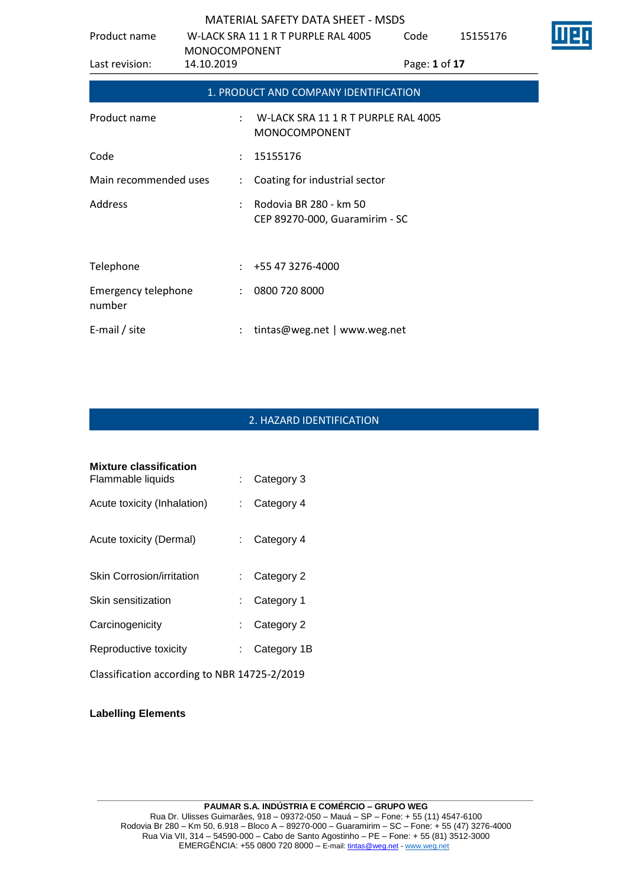| Product name                  | W-LACK SRA 11 1 R T PURPLE RAL 4005 |                      |                                                             | Code          | 15155176 |  |
|-------------------------------|-------------------------------------|----------------------|-------------------------------------------------------------|---------------|----------|--|
| Last revision:                | <b>MONOCOMPONENT</b><br>14.10.2019  |                      |                                                             | Page: 1 of 17 |          |  |
|                               |                                     |                      | 1. PRODUCT AND COMPANY IDENTIFICATION                       |               |          |  |
| Product name                  |                                     |                      | W-LACK SRA 11 1 R T PURPLE RAL 4005<br><b>MONOCOMPONENT</b> |               |          |  |
| Code                          |                                     |                      | 15155176                                                    |               |          |  |
| Main recommended uses         |                                     | $\ddot{\phantom{0}}$ | Coating for industrial sector                               |               |          |  |
| Address                       |                                     |                      | Rodovia BR 280 - km 50<br>CEP 89270-000, Guaramirim - SC    |               |          |  |
| Telephone                     |                                     |                      | $\div$ +55 47 3276-4000                                     |               |          |  |
| Emergency telephone<br>number |                                     | $\ddot{\phantom{a}}$ | 0800 720 8000                                               |               |          |  |
| E-mail / site                 |                                     |                      | tintas@weg.net   www.weg.net                                |               |          |  |

# 2. HAZARD IDENTIFICATION

| <b>Mixture classification</b><br>Flammable liquids |      | Category 3  |
|----------------------------------------------------|------|-------------|
| Acute toxicity (Inhalation)                        |      | Category 4  |
| Acute toxicity (Dermal)                            |      | Category 4  |
| <b>Skin Corrosion/irritation</b>                   | t in | Category 2  |
| Skin sensitization                                 |      | Category 1  |
| Carcinogenicity                                    |      | Category 2  |
| Reproductive toxicity                              |      | Category 1B |
| Classification according to NBR 14725-2/2019       |      |             |

### **Labelling Elements**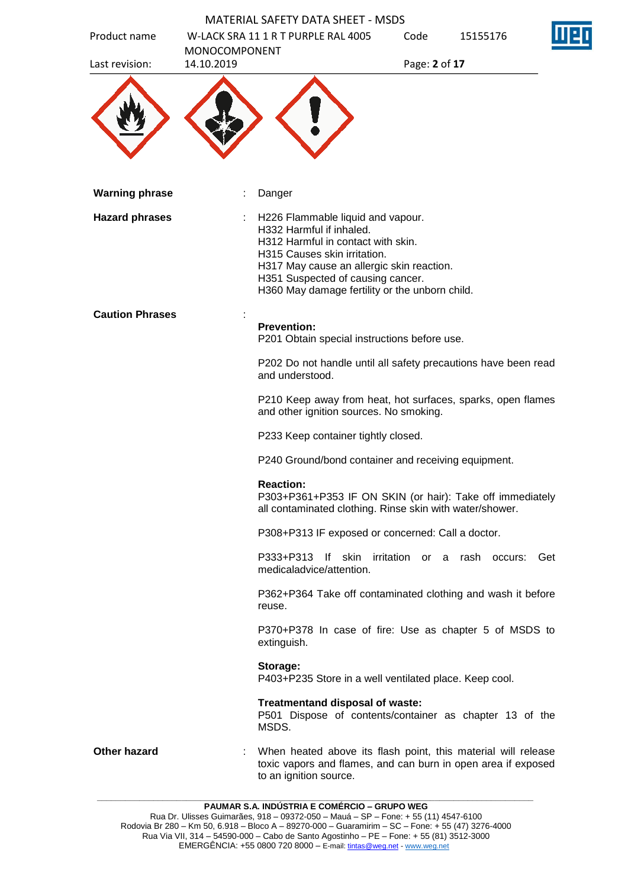| Product name           |                                    | <b>MATERIAL SAFETY DATA SHEET - MSDS</b><br>W-LACK SRA 11 1 R T PURPLE RAL 4005                                                                                                                                                                                         | Code          | 15155176                             |     |
|------------------------|------------------------------------|-------------------------------------------------------------------------------------------------------------------------------------------------------------------------------------------------------------------------------------------------------------------------|---------------|--------------------------------------|-----|
| Last revision:         | <b>MONOCOMPONENT</b><br>14.10.2019 |                                                                                                                                                                                                                                                                         | Page: 2 of 17 |                                      |     |
|                        |                                    |                                                                                                                                                                                                                                                                         |               |                                      |     |
| <b>Warning phrase</b>  |                                    | Danger                                                                                                                                                                                                                                                                  |               |                                      |     |
| <b>Hazard phrases</b>  |                                    | H226 Flammable liquid and vapour.<br>H332 Harmful if inhaled.<br>H312 Harmful in contact with skin.<br>H315 Causes skin irritation.<br>H317 May cause an allergic skin reaction.<br>H351 Suspected of causing cancer.<br>H360 May damage fertility or the unborn child. |               |                                      |     |
| <b>Caution Phrases</b> |                                    | <b>Prevention:</b><br>P201 Obtain special instructions before use.                                                                                                                                                                                                      |               |                                      |     |
|                        |                                    | P202 Do not handle until all safety precautions have been read<br>and understood.                                                                                                                                                                                       |               |                                      |     |
|                        |                                    | P210 Keep away from heat, hot surfaces, sparks, open flames<br>and other ignition sources. No smoking.                                                                                                                                                                  |               |                                      |     |
|                        |                                    | P233 Keep container tightly closed.                                                                                                                                                                                                                                     |               |                                      |     |
|                        |                                    | P240 Ground/bond container and receiving equipment.                                                                                                                                                                                                                     |               |                                      |     |
|                        |                                    | <b>Reaction:</b><br>P303+P361+P353 IF ON SKIN (or hair): Take off immediately<br>all contaminated clothing. Rinse skin with water/shower.                                                                                                                               |               |                                      |     |
|                        |                                    | P308+P313 IF exposed or concerned: Call a doctor.                                                                                                                                                                                                                       |               |                                      |     |
|                        |                                    | P333+P313<br>medicaladvice/attention.                                                                                                                                                                                                                                   |               | If skin irritation or a rash occurs: | Get |
|                        |                                    | P362+P364 Take off contaminated clothing and wash it before<br>reuse.                                                                                                                                                                                                   |               |                                      |     |
|                        |                                    | P370+P378 In case of fire: Use as chapter 5 of MSDS to<br>extinguish.                                                                                                                                                                                                   |               |                                      |     |
|                        |                                    | Storage:<br>P403+P235 Store in a well ventilated place. Keep cool.                                                                                                                                                                                                      |               |                                      |     |
|                        |                                    | Treatmentand disposal of waste:<br>P501 Dispose of contents/container as chapter 13 of the<br>MSDS.                                                                                                                                                                     |               |                                      |     |
| Other hazard           |                                    | When heated above its flash point, this material will release<br>toxic vapors and flames, and can burn in open area if exposed<br>to an ignition source.                                                                                                                |               |                                      |     |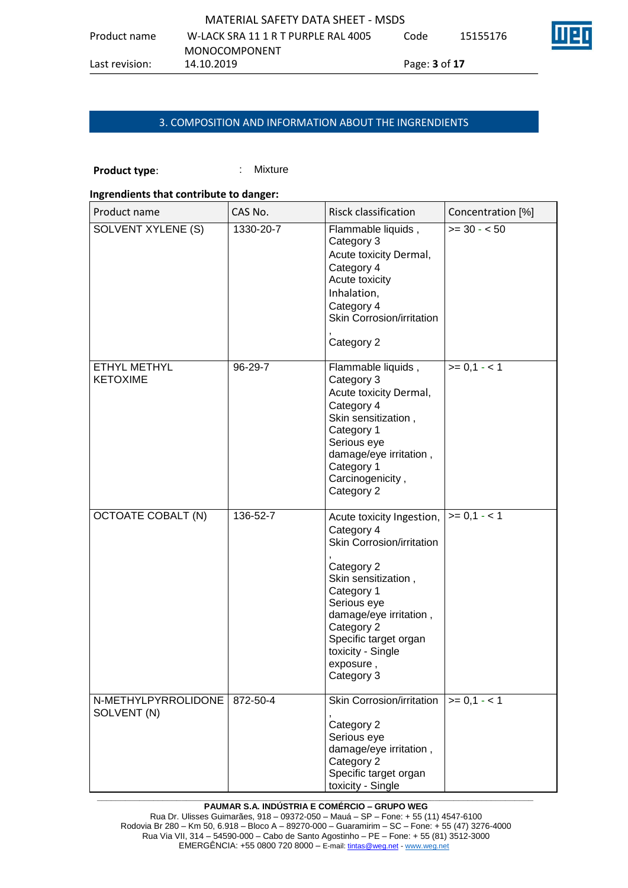|                | MATERIAL SAFETY DATA SHEFT - MSDS   |                             |          |    |
|----------------|-------------------------------------|-----------------------------|----------|----|
| Product name   | W-LACK SRA 11 1 R T PURPLF RAL 4005 | Code                        | 15155176 | ШЕ |
|                | MONOCOMPONENT                       |                             |          |    |
| Last revision: | 14.10.2019                          | Page: <b>3</b> of <b>17</b> |          |    |

# 3. COMPOSITION AND INFORMATION ABOUT THE INGRENDIENTS

### **Product type:** : Mixture

#### **Ingrendients that contribute to danger:**

| Product name                       | CAS No.   | Risck classification                                                                                                                                                                                                                                    | Concentration [%] |
|------------------------------------|-----------|---------------------------------------------------------------------------------------------------------------------------------------------------------------------------------------------------------------------------------------------------------|-------------------|
| SOLVENT XYLENE (S)                 | 1330-20-7 | Flammable liquids,<br>Category 3<br>Acute toxicity Dermal,<br>Category 4<br>Acute toxicity<br>Inhalation,<br>Category 4<br>Skin Corrosion/irritation<br>Category 2                                                                                      | $>= 30 - 50$      |
| ETHYL METHYL<br><b>KETOXIME</b>    | 96-29-7   | Flammable liquids,<br>Category 3<br>Acute toxicity Dermal,<br>Category 4<br>Skin sensitization,<br>Category 1<br>Serious eye<br>damage/eye irritation,<br>Category 1<br>Carcinogenicity,<br>Category 2                                                  | $>= 0,1 - 1$      |
| <b>OCTOATE COBALT (N)</b>          | 136-52-7  | Acute toxicity Ingestion,<br>Category 4<br>Skin Corrosion/irritation<br>Category 2<br>Skin sensitization,<br>Category 1<br>Serious eye<br>damage/eye irritation,<br>Category 2<br>Specific target organ<br>toxicity - Single<br>exposure,<br>Category 3 | $>= 0,1 - 1$      |
| N-METHYLPYRROLIDONE<br>SOLVENT (N) | 872-50-4  | Skin Corrosion/irritation<br>Category 2<br>Serious eye<br>damage/eye irritation,<br>Category 2<br>Specific target organ<br>toxicity - Single                                                                                                            | $>= 0,1 - 1$      |

#### **\_\_\_\_\_\_\_\_\_\_\_\_\_\_\_\_\_\_\_\_\_\_\_\_\_\_\_\_\_\_\_\_\_\_\_\_\_\_\_\_\_\_\_\_\_\_\_\_\_\_\_\_\_\_\_\_\_\_\_\_\_\_\_\_\_\_\_\_\_\_\_\_\_\_\_\_\_\_\_\_\_\_\_\_\_\_\_\_\_\_\_\_\_ PAUMAR S.A. INDÚSTRIA E COMÉRCIO – GRUPO WEG**

Rua Dr. Ulisses Guimarães, 918 – 09372-050 – Mauá – SP – Fone: + 55 (11) 4547-6100 Rodovia Br 280 – Km 50, 6.918 – Bloco A – 89270-000 – Guaramirim – SC – Fone: + 55 (47) 3276-4000 Rua Via VII, 314 – 54590-000 – Cabo de Santo Agostinho – PE – Fone: + 55 (81) 3512-3000 EMERGËNCIA: +55 0800 720 8000 – E-mail[: tintas@weg.net](mailto:tintas@weg.net) - [www.weg.net](http://www.weg.net/)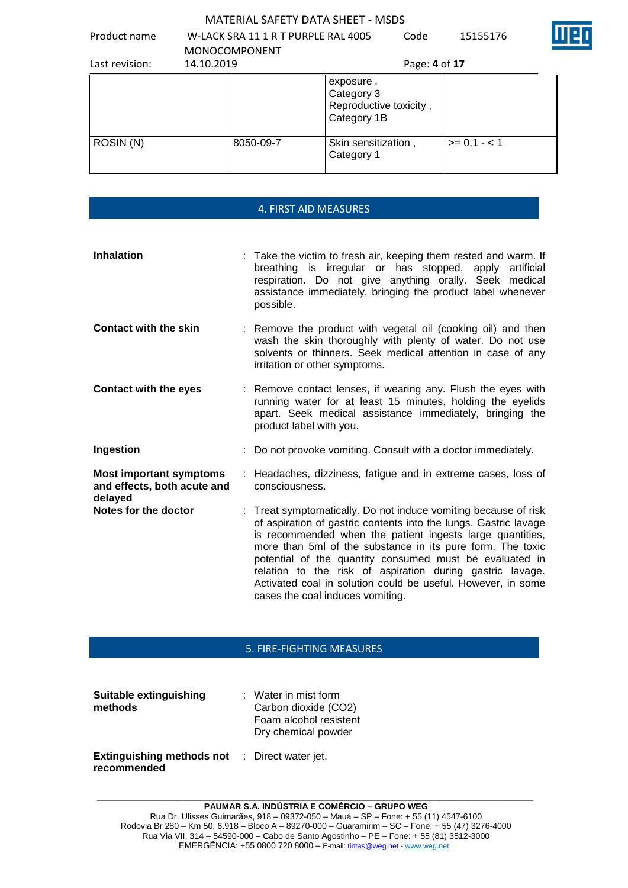|                |            | <u> IVIATENIAL SAFETT DATA SHEET - IVISDS</u> |                                                                  |               |              |
|----------------|------------|-----------------------------------------------|------------------------------------------------------------------|---------------|--------------|
| Product name   |            | W-LACK SRA 11 1 R T PURPLE RAL 4005           |                                                                  | Code          | 15155176     |
|                |            | <b>MONOCOMPONENT</b>                          |                                                                  |               |              |
| Last revision: | 14.10.2019 |                                               |                                                                  | Page: 4 of 17 |              |
|                |            |                                               | exposure,<br>Category 3<br>Reproductive toxicity,<br>Category 1B |               |              |
| ROSIN (N)      |            | 8050-09-7                                     | Skin sensitization,                                              |               | $>= 0.1 - 1$ |

# 4. FIRST AID MEASURES

Category 1

| <b>Inhalation</b>                                                        | : Take the victim to fresh air, keeping them rested and warm. If<br>breathing is irregular or has stopped, apply artificial<br>respiration. Do not give anything orally. Seek medical<br>assistance immediately, bringing the product label whenever<br>possible.                                                                                                                                                                                                                          |
|--------------------------------------------------------------------------|--------------------------------------------------------------------------------------------------------------------------------------------------------------------------------------------------------------------------------------------------------------------------------------------------------------------------------------------------------------------------------------------------------------------------------------------------------------------------------------------|
| <b>Contact with the skin</b>                                             | : Remove the product with vegetal oil (cooking oil) and then<br>wash the skin thoroughly with plenty of water. Do not use<br>solvents or thinners. Seek medical attention in case of any<br>irritation or other symptoms.                                                                                                                                                                                                                                                                  |
| <b>Contact with the eyes</b>                                             | : Remove contact lenses, if wearing any. Flush the eyes with<br>running water for at least 15 minutes, holding the eyelids<br>apart. Seek medical assistance immediately, bringing the<br>product label with you.                                                                                                                                                                                                                                                                          |
| Ingestion                                                                | : Do not provoke vomiting. Consult with a doctor immediately.                                                                                                                                                                                                                                                                                                                                                                                                                              |
| <b>Most important symptoms</b><br>and effects, both acute and<br>delayed | : Headaches, dizziness, fatigue and in extreme cases, loss of<br>consciousness.                                                                                                                                                                                                                                                                                                                                                                                                            |
| Notes for the doctor                                                     | : Treat symptomatically. Do not induce vomiting because of risk<br>of aspiration of gastric contents into the lungs. Gastric lavage<br>is recommended when the patient ingests large quantities,<br>more than 5ml of the substance in its pure form. The toxic<br>potential of the quantity consumed must be evaluated in<br>relation to the risk of aspiration during gastric lavage.<br>Activated coal in solution could be useful. However, in some<br>cases the coal induces vomiting. |

### 5. FIRE-FIGHTING MEASURES

| Suitable extinguishing<br>methods               | $:$ Water in mist form<br>Carbon dioxide (CO2)<br>Foam alcohol resistent<br>Dry chemical powder |  |
|-------------------------------------------------|-------------------------------------------------------------------------------------------------|--|
| <b>Extinguishing methods not</b><br>recommended | : Direct water jet.                                                                             |  |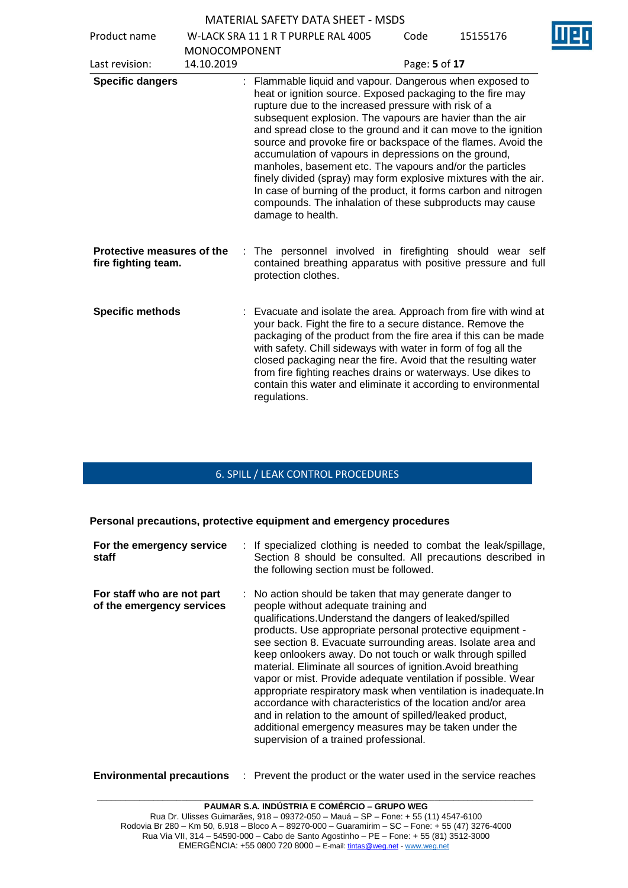Product name W-LACK SRA 11 1 R T PURPLE RAL 4005

| Product name                                      |                      | W-LACK SRA 11 1 R T PURPLE RAL 4005                                                                                                                                                                                                                                                                                                                                                                                                                                                                                                                                                                                                                                                                                         | Code          | 15155176 |
|---------------------------------------------------|----------------------|-----------------------------------------------------------------------------------------------------------------------------------------------------------------------------------------------------------------------------------------------------------------------------------------------------------------------------------------------------------------------------------------------------------------------------------------------------------------------------------------------------------------------------------------------------------------------------------------------------------------------------------------------------------------------------------------------------------------------------|---------------|----------|
|                                                   | <b>MONOCOMPONENT</b> |                                                                                                                                                                                                                                                                                                                                                                                                                                                                                                                                                                                                                                                                                                                             |               |          |
| Last revision:                                    | 14.10.2019           |                                                                                                                                                                                                                                                                                                                                                                                                                                                                                                                                                                                                                                                                                                                             | Page: 5 of 17 |          |
| <b>Specific dangers</b>                           |                      | : Flammable liquid and vapour. Dangerous when exposed to<br>heat or ignition source. Exposed packaging to the fire may<br>rupture due to the increased pressure with risk of a<br>subsequent explosion. The vapours are havier than the air<br>and spread close to the ground and it can move to the ignition<br>source and provoke fire or backspace of the flames. Avoid the<br>accumulation of vapours in depressions on the ground,<br>manholes, basement etc. The vapours and/or the particles<br>finely divided (spray) may form explosive mixtures with the air.<br>In case of burning of the product, it forms carbon and nitrogen<br>compounds. The inhalation of these subproducts may cause<br>damage to health. |               |          |
| Protective measures of the<br>fire fighting team. | ÷                    | The personnel involved in firefighting should wear self<br>contained breathing apparatus with positive pressure and full<br>protection clothes.                                                                                                                                                                                                                                                                                                                                                                                                                                                                                                                                                                             |               |          |
| <b>Specific methods</b>                           |                      | : Evacuate and isolate the area. Approach from fire with wind at<br>your back. Fight the fire to a secure distance. Remove the<br>packaging of the product from the fire area if this can be made<br>with safety. Chill sideways with water in form of fog all the<br>closed packaging near the fire. Avoid that the resulting water<br>from fire fighting reaches drains or waterways. Use dikes to<br>contain this water and eliminate it according to environmental<br>regulations.                                                                                                                                                                                                                                      |               |          |

# 6. SPILL / LEAK CONTROL PROCEDURES

**Personal precautions, protective equipment and emergency procedures**

| For the emergency service<br>staff                      | : If specialized clothing is needed to combat the leak/spillage,<br>Section 8 should be consulted. All precautions described in<br>the following section must be followed.                                                                                                                                                                                                                                                                                                                                                                                                                                                                                                                                                                                                           |
|---------------------------------------------------------|--------------------------------------------------------------------------------------------------------------------------------------------------------------------------------------------------------------------------------------------------------------------------------------------------------------------------------------------------------------------------------------------------------------------------------------------------------------------------------------------------------------------------------------------------------------------------------------------------------------------------------------------------------------------------------------------------------------------------------------------------------------------------------------|
| For staff who are not part<br>of the emergency services | : No action should be taken that may generate danger to<br>people without adequate training and<br>qualifications. Understand the dangers of leaked/spilled<br>products. Use appropriate personal protective equipment -<br>see section 8. Evacuate surrounding areas. Isolate area and<br>keep onlookers away. Do not touch or walk through spilled<br>material. Eliminate all sources of ignition. Avoid breathing<br>vapor or mist. Provide adequate ventilation if possible. Wear<br>appropriate respiratory mask when ventilation is inadequate.In<br>accordance with characteristics of the location and/or area<br>and in relation to the amount of spilled/leaked product,<br>additional emergency measures may be taken under the<br>supervision of a trained professional. |

**Environmental precautions** : Prevent the product or the water used in the service reaches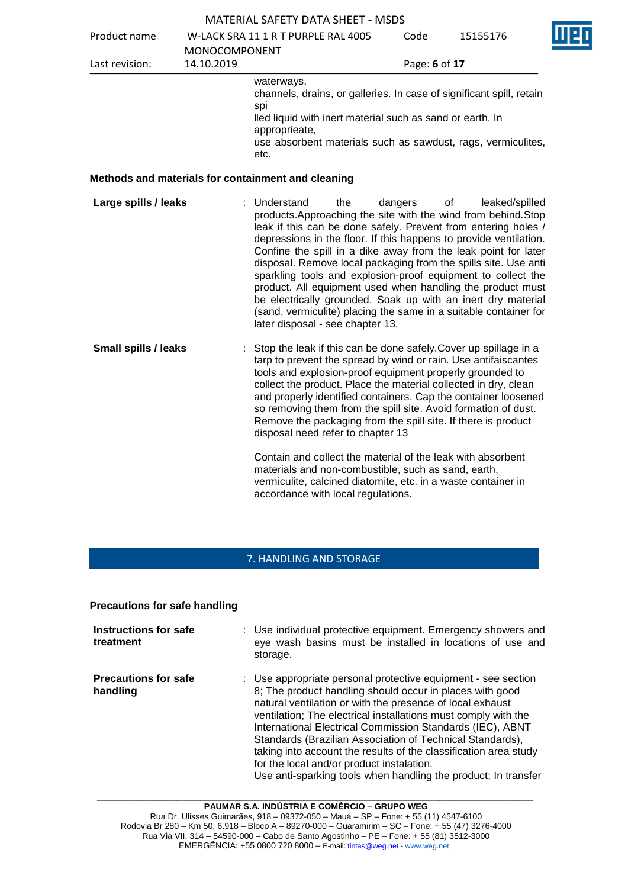|                             |               | <b>MATERIAL SAFETY DATA SHEET - MSDS</b>                                                                                                                                                                                                                                                                                                                                                                                                                                                                                                                                                                                                                                |               |                      |
|-----------------------------|---------------|-------------------------------------------------------------------------------------------------------------------------------------------------------------------------------------------------------------------------------------------------------------------------------------------------------------------------------------------------------------------------------------------------------------------------------------------------------------------------------------------------------------------------------------------------------------------------------------------------------------------------------------------------------------------------|---------------|----------------------|
| Product name                |               | W-LACK SRA 11 1 R T PURPLE RAL 4005                                                                                                                                                                                                                                                                                                                                                                                                                                                                                                                                                                                                                                     | Code          | 15155176             |
|                             | MONOCOMPONENT |                                                                                                                                                                                                                                                                                                                                                                                                                                                                                                                                                                                                                                                                         |               |                      |
| Last revision:              | 14.10.2019    |                                                                                                                                                                                                                                                                                                                                                                                                                                                                                                                                                                                                                                                                         | Page: 6 of 17 |                      |
|                             |               | waterways,<br>channels, drains, or galleries. In case of significant spill, retain<br>spi<br>lled liquid with inert material such as sand or earth. In<br>approprieate,<br>use absorbent materials such as sawdust, rags, vermiculites,<br>etc.                                                                                                                                                                                                                                                                                                                                                                                                                         |               |                      |
|                             |               | Methods and materials for containment and cleaning                                                                                                                                                                                                                                                                                                                                                                                                                                                                                                                                                                                                                      |               |                      |
| Large spills / leaks        |               | : Understand<br>the<br>products. Approaching the site with the wind from behind. Stop<br>leak if this can be done safely. Prevent from entering holes /<br>depressions in the floor. If this happens to provide ventilation.<br>Confine the spill in a dike away from the leak point for later<br>disposal. Remove local packaging from the spills site. Use anti<br>sparkling tools and explosion-proof equipment to collect the<br>product. All equipment used when handling the product must<br>be electrically grounded. Soak up with an inert dry material<br>(sand, vermiculite) placing the same in a suitable container for<br>later disposal - see chapter 13. | dangers       | leaked/spilled<br>οf |
| <b>Small spills / leaks</b> |               | : Stop the leak if this can be done safely. Cover up spillage in a<br>tarp to prevent the spread by wind or rain. Use antifaiscantes<br>tools and explosion-proof equipment properly grounded to<br>collect the product. Place the material collected in dry, clean<br>and properly identified containers. Cap the container loosened<br>so removing them from the spill site. Avoid formation of dust.<br>Remove the packaging from the spill site. If there is product<br>disposal need refer to chapter 13                                                                                                                                                           |               |                      |
|                             |               | Contain and collect the material of the leak with absorbent<br>materials and non-combustible, such as sand, earth,<br>vermiculite, calcined diatomite, etc. in a waste container in                                                                                                                                                                                                                                                                                                                                                                                                                                                                                     |               |                      |

### 7. HANDLING AND STORAGE

accordance with local regulations.

# **Precautions for safe handling**

| Instructions for safe<br>treatment      | : Use individual protective equipment. Emergency showers and<br>eye wash basins must be installed in locations of use and<br>storage.                                                                                                                                                                                                                                                                                                                                                                                                                                 |
|-----------------------------------------|-----------------------------------------------------------------------------------------------------------------------------------------------------------------------------------------------------------------------------------------------------------------------------------------------------------------------------------------------------------------------------------------------------------------------------------------------------------------------------------------------------------------------------------------------------------------------|
| <b>Precautions for safe</b><br>handling | : Use appropriate personal protective equipment - see section<br>8; The product handling should occur in places with good<br>natural ventilation or with the presence of local exhaust<br>ventilation; The electrical installations must comply with the<br>International Electrical Commission Standards (IEC), ABNT<br>Standards (Brazilian Association of Technical Standards),<br>taking into account the results of the classification area study<br>for the local and/or product instalation.<br>Use anti-sparking tools when handling the product; In transfer |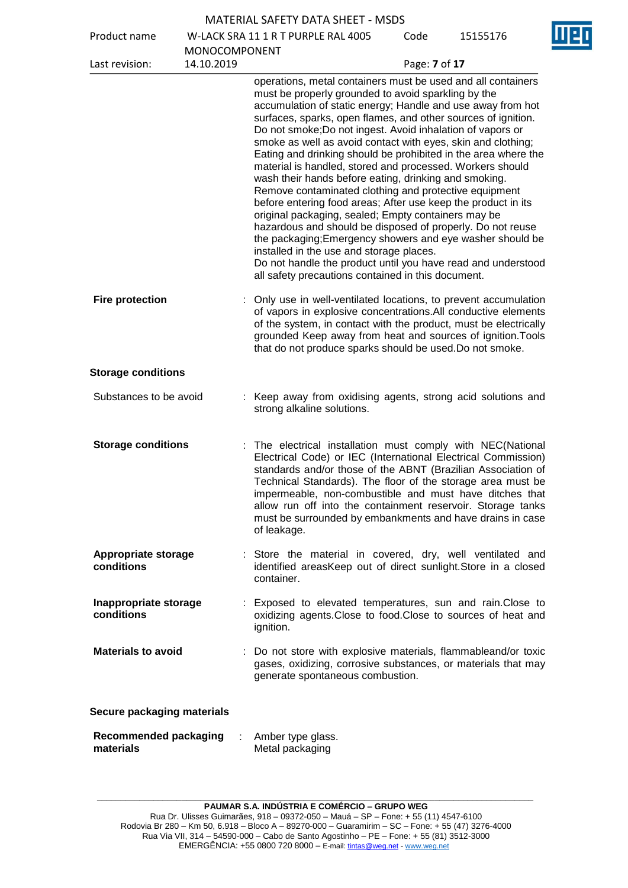| <b>MATERIAL SAFETY DATA SHEET - MSDS</b> |  |
|------------------------------------------|--|
|------------------------------------------|--|

Product name W-LACK SRA 11 1 R T PURPLE RAL 4005

Code 15155176

| Product name                              |                                    | W-LACK SRA II I K I PURPLE RAL 4005                                                                                                                                                                                                                                                                                                                                                                                                                                                                                                                                                                                                                                                                                                                                                                                                                                                                                                                                                                                                                     | code          | 12122110 |
|-------------------------------------------|------------------------------------|---------------------------------------------------------------------------------------------------------------------------------------------------------------------------------------------------------------------------------------------------------------------------------------------------------------------------------------------------------------------------------------------------------------------------------------------------------------------------------------------------------------------------------------------------------------------------------------------------------------------------------------------------------------------------------------------------------------------------------------------------------------------------------------------------------------------------------------------------------------------------------------------------------------------------------------------------------------------------------------------------------------------------------------------------------|---------------|----------|
| Last revision:                            | <b>MONOCOMPONENT</b><br>14.10.2019 |                                                                                                                                                                                                                                                                                                                                                                                                                                                                                                                                                                                                                                                                                                                                                                                                                                                                                                                                                                                                                                                         | Page: 7 of 17 |          |
|                                           |                                    | operations, metal containers must be used and all containers<br>must be properly grounded to avoid sparkling by the<br>accumulation of static energy; Handle and use away from hot<br>surfaces, sparks, open flames, and other sources of ignition.<br>Do not smoke; Do not ingest. Avoid inhalation of vapors or<br>smoke as well as avoid contact with eyes, skin and clothing;<br>Eating and drinking should be prohibited in the area where the<br>material is handled, stored and processed. Workers should<br>wash their hands before eating, drinking and smoking.<br>Remove contaminated clothing and protective equipment<br>before entering food areas; After use keep the product in its<br>original packaging, sealed; Empty containers may be<br>hazardous and should be disposed of properly. Do not reuse<br>the packaging; Emergency showers and eye washer should be<br>installed in the use and storage places.<br>Do not handle the product until you have read and understood<br>all safety precautions contained in this document. |               |          |
| <b>Fire protection</b>                    |                                    | Only use in well-ventilated locations, to prevent accumulation<br>of vapors in explosive concentrations.All conductive elements<br>of the system, in contact with the product, must be electrically<br>grounded Keep away from heat and sources of ignition. Tools<br>that do not produce sparks should be used. Do not smoke.                                                                                                                                                                                                                                                                                                                                                                                                                                                                                                                                                                                                                                                                                                                          |               |          |
| <b>Storage conditions</b>                 |                                    |                                                                                                                                                                                                                                                                                                                                                                                                                                                                                                                                                                                                                                                                                                                                                                                                                                                                                                                                                                                                                                                         |               |          |
| Substances to be avoid                    |                                    | : Keep away from oxidising agents, strong acid solutions and<br>strong alkaline solutions.                                                                                                                                                                                                                                                                                                                                                                                                                                                                                                                                                                                                                                                                                                                                                                                                                                                                                                                                                              |               |          |
| <b>Storage conditions</b>                 |                                    | The electrical installation must comply with NEC(National<br>Electrical Code) or IEC (International Electrical Commission)<br>standards and/or those of the ABNT (Brazilian Association of<br>Technical Standards). The floor of the storage area must be<br>impermeable, non-combustible and must have ditches that<br>allow run off into the containment reservoir. Storage tanks<br>must be surrounded by embankments and have drains in case<br>of leakage.                                                                                                                                                                                                                                                                                                                                                                                                                                                                                                                                                                                         |               |          |
| <b>Appropriate storage</b><br>conditions  |                                    | : Store the material in covered, dry, well ventilated and<br>identified areasKeep out of direct sunlight. Store in a closed<br>container.                                                                                                                                                                                                                                                                                                                                                                                                                                                                                                                                                                                                                                                                                                                                                                                                                                                                                                               |               |          |
| Inappropriate storage<br>conditions       |                                    | : Exposed to elevated temperatures, sun and rain. Close to<br>oxidizing agents. Close to food. Close to sources of heat and<br>ignition.                                                                                                                                                                                                                                                                                                                                                                                                                                                                                                                                                                                                                                                                                                                                                                                                                                                                                                                |               |          |
| <b>Materials to avoid</b>                 |                                    | : Do not store with explosive materials, flammableand/or toxic<br>gases, oxidizing, corrosive substances, or materials that may<br>generate spontaneous combustion.                                                                                                                                                                                                                                                                                                                                                                                                                                                                                                                                                                                                                                                                                                                                                                                                                                                                                     |               |          |
| Secure packaging materials                |                                    |                                                                                                                                                                                                                                                                                                                                                                                                                                                                                                                                                                                                                                                                                                                                                                                                                                                                                                                                                                                                                                                         |               |          |
| <b>Recommended packaging</b><br>materials |                                    | Amber type glass.<br>Metal packaging                                                                                                                                                                                                                                                                                                                                                                                                                                                                                                                                                                                                                                                                                                                                                                                                                                                                                                                                                                                                                    |               |          |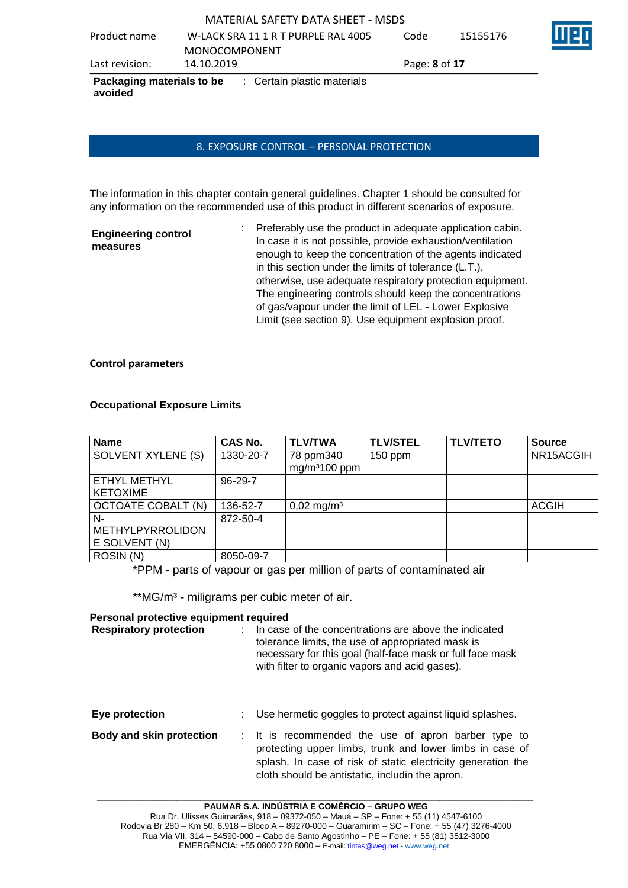MATERIAL SAFETY DATA SHEET - MSDS Product name W-LACK SRA 11 1 R T PURPLE RAL 4005 MONOCOMPONENT Code 15155176 Last revision: 14.10.2019 Page: **8** of **17 Packaging materials to be avoided** : Certain plastic materials

### 8. EXPOSURE CONTROL – PERSONAL PROTECTION

The information in this chapter contain general guidelines. Chapter 1 should be consulted for any information on the recommended use of this product in different scenarios of exposure.

| <b>Engineering control</b><br>measures | : Preferably use the product in adequate application cabin.<br>In case it is not possible, provide exhaustion/ventilation<br>enough to keep the concentration of the agents indicated |
|----------------------------------------|---------------------------------------------------------------------------------------------------------------------------------------------------------------------------------------|
|                                        | in this section under the limits of tolerance (L.T.),<br>otherwise, use adequate respiratory protection equipment.                                                                    |
|                                        | The engineering controls should keep the concentrations<br>of gas/vapour under the limit of LEL - Lower Explosive<br>Limit (see section 9). Use equipment explosion proof.            |

#### **Control parameters**

### **Occupational Exposure Limits**

| <b>Name</b>                                    | <b>CAS No.</b> | <b>TLV/TWA</b>              | <b>TLV/STEL</b> | <b>TLV/TETO</b> | <b>Source</b> |
|------------------------------------------------|----------------|-----------------------------|-----------------|-----------------|---------------|
| <b>SOLVENT XYLENE (S)</b>                      | 1330-20-7      | 78 ppm340<br>$mg/m3100$ ppm | $150$ ppm       |                 | NR15ACGIH     |
| ETHYL METHYL<br><b>KETOXIME</b>                | $96-29-7$      |                             |                 |                 |               |
| OCTOATE COBALT (N)                             | 136-52-7       | $0,02 \text{ mg/m}^3$       |                 |                 | <b>ACGIH</b>  |
| N-<br><b>METHYLPYRROLIDON</b><br>E SOLVENT (N) | 872-50-4       |                             |                 |                 |               |
| ROSIN (N)                                      | 8050-09-7      |                             |                 |                 |               |

\*PPM - parts of vapour or gas per million of parts of contaminated air

\*\*MG/m<sup>3</sup> - miligrams per cubic meter of air.

#### **Personal protective equipment required**

| <b>Respiratory protection</b>   | In case of the concentrations are above the indicated<br>tolerance limits, the use of appropriated mask is<br>necessary for this goal (half-face mask or full face mask<br>with filter to organic vapors and acid gases).          |
|---------------------------------|------------------------------------------------------------------------------------------------------------------------------------------------------------------------------------------------------------------------------------|
| Eye protection                  | Use hermetic goggles to protect against liquid splashes.                                                                                                                                                                           |
| <b>Body and skin protection</b> | : It is recommended the use of apron barber type to<br>protecting upper limbs, trunk and lower limbs in case of<br>splash. In case of risk of static electricity generation the<br>cloth should be antistatic, includin the apron. |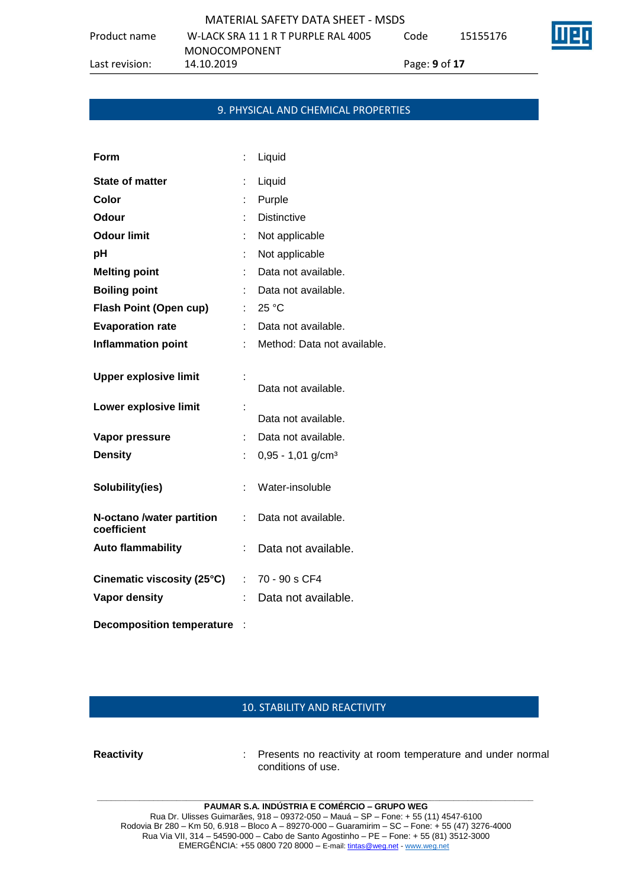| MATERIAL SAFETY DATA SHEET - MSDS |                                     |      |          |  |  |  |  |  |
|-----------------------------------|-------------------------------------|------|----------|--|--|--|--|--|
| name                              | W-LACK SRA 11 1 R T PURPLE RAL 4005 | Code | 15155176 |  |  |  |  |  |

Product n

MONOCOMPONENT<br>14.10.2019

Last revision: 14.10.2019 Page: **9** of **17**

### 9. PHYSICAL AND CHEMICAL PROPERTIES

| Form                                                  |                           | Liquid                          |
|-------------------------------------------------------|---------------------------|---------------------------------|
| <b>State of matter</b>                                | t                         | Liquid                          |
| Color                                                 | t                         | Purple                          |
| Odour                                                 | t                         | <b>Distinctive</b>              |
| <b>Odour limit</b>                                    |                           | Not applicable                  |
| рH                                                    |                           | Not applicable                  |
| <b>Melting point</b>                                  |                           | Data not available.             |
| <b>Boiling point</b>                                  |                           | Data not available.             |
| <b>Flash Point (Open cup)</b>                         | t.                        | 25 °C                           |
| <b>Evaporation rate</b>                               | t.                        | Data not available.             |
| <b>Inflammation point</b>                             | t.                        | Method: Data not available.     |
| <b>Upper explosive limit</b><br>Lower explosive limit |                           | Data not available.             |
|                                                       | Ì.                        | Data not available.             |
| Vapor pressure                                        | ÷                         | Data not available.             |
| <b>Density</b>                                        | t,                        | $0,95 - 1,01$ g/cm <sup>3</sup> |
| Solubility(ies)                                       | ÷                         | Water-insoluble                 |
| N-octano /water partition<br>coefficient              | ÷                         | Data not available.             |
| <b>Auto flammability</b>                              | t                         | Data not available.             |
| Cinematic viscosity (25°C)                            | $\mathbb{Z}^{\mathbb{Z}}$ | 70 - 90 s CF4                   |
| <b>Vapor density</b>                                  | t                         | Data not available.             |
|                                                       |                           |                                 |

**Decomposition temperature** :

# 10. STABILITY AND REACTIVITY

**Reactivity** : Presents no reactivity at room temperature and under normal conditions of use.

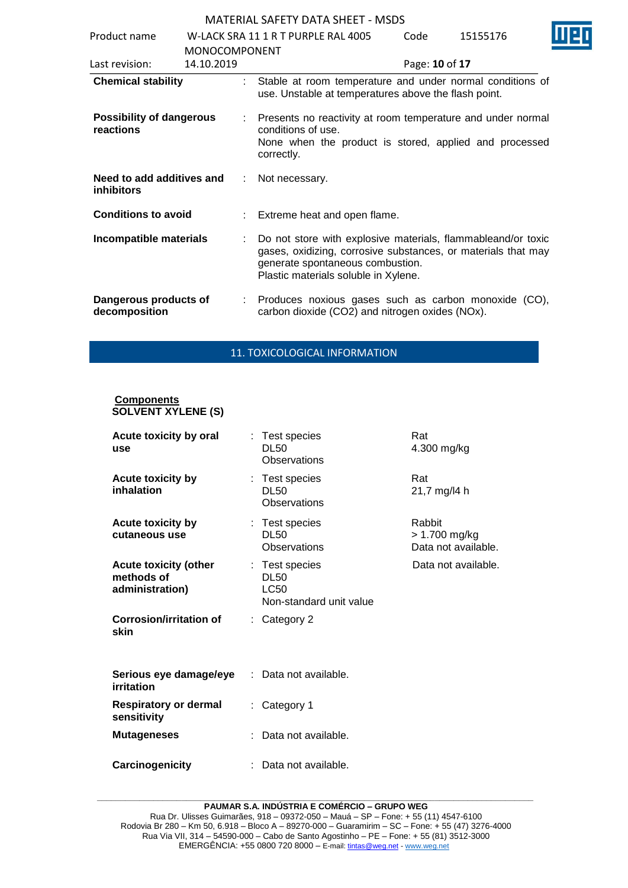| Product name                                   |                                    |                               | W-LACK SRA 11 1 R T PURPLE RAL 4005                                                                                                                                                                       | Code           | 15155176 |  |
|------------------------------------------------|------------------------------------|-------------------------------|-----------------------------------------------------------------------------------------------------------------------------------------------------------------------------------------------------------|----------------|----------|--|
| Last revision:                                 | <b>MONOCOMPONENT</b><br>14.10.2019 |                               |                                                                                                                                                                                                           | Page: 10 of 17 |          |  |
| <b>Chemical stability</b>                      |                                    | t.                            | Stable at room temperature and under normal conditions of<br>use. Unstable at temperatures above the flash point.                                                                                         |                |          |  |
| <b>Possibility of dangerous</b><br>reactions   |                                    |                               | Presents no reactivity at room temperature and under normal<br>conditions of use.<br>None when the product is stored, applied and processed<br>correctly.                                                 |                |          |  |
| Need to add additives and<br><b>inhibitors</b> | ÷                                  |                               | Not necessary.                                                                                                                                                                                            |                |          |  |
| <b>Conditions to avoid</b>                     |                                    | t.                            | Extreme heat and open flame.                                                                                                                                                                              |                |          |  |
| Incompatible materials                         | ÷.                                 |                               | Do not store with explosive materials, flammableand/or toxic<br>gases, oxidizing, corrosive substances, or materials that may<br>generate spontaneous combustion.<br>Plastic materials soluble in Xylene. |                |          |  |
| Dangerous products of<br>decomposition         |                                    | $\mathcal{L}^{\mathcal{L}}$ . | Produces noxious gases such as carbon monoxide (CO),<br>carbon dioxide (CO2) and nitrogen oxides (NOx).                                                                                                   |                |          |  |

### 11. TOXICOLOGICAL INFORMATION

#### **Components SOLVENT XYLENE (S)**

| Acute toxicity by oral<br>use                                 |    | : Test species<br><b>DL50</b><br>Observations                           | Rat<br>4.300 mg/kg                             |
|---------------------------------------------------------------|----|-------------------------------------------------------------------------|------------------------------------------------|
| Acute toxicity by<br>inhalation                               |    | : Test species<br><b>DL50</b><br>Observations                           | Rat<br>21,7 mg/l4 h                            |
| <b>Acute toxicity by</b><br>cutaneous use                     |    | : Test species<br><b>DL50</b><br>Observations                           | Rabbit<br>> 1.700 mg/kg<br>Data not available. |
| <b>Acute toxicity (other</b><br>methods of<br>administration) |    | : Test species<br><b>DL50</b><br><b>LC50</b><br>Non-standard unit value | Data not available.                            |
| <b>Corrosion/irritation of</b><br>skin                        |    | Category 2                                                              |                                                |
| Serious eye damage/eye<br>irritation                          |    | Data not available.                                                     |                                                |
| Respiratory or dermal<br>sensitivity                          | ÷. | Category 1                                                              |                                                |
| <b>Mutageneses</b>                                            |    | Data not available.                                                     |                                                |
| Carcinogenicity                                               |    | Data not available.                                                     |                                                |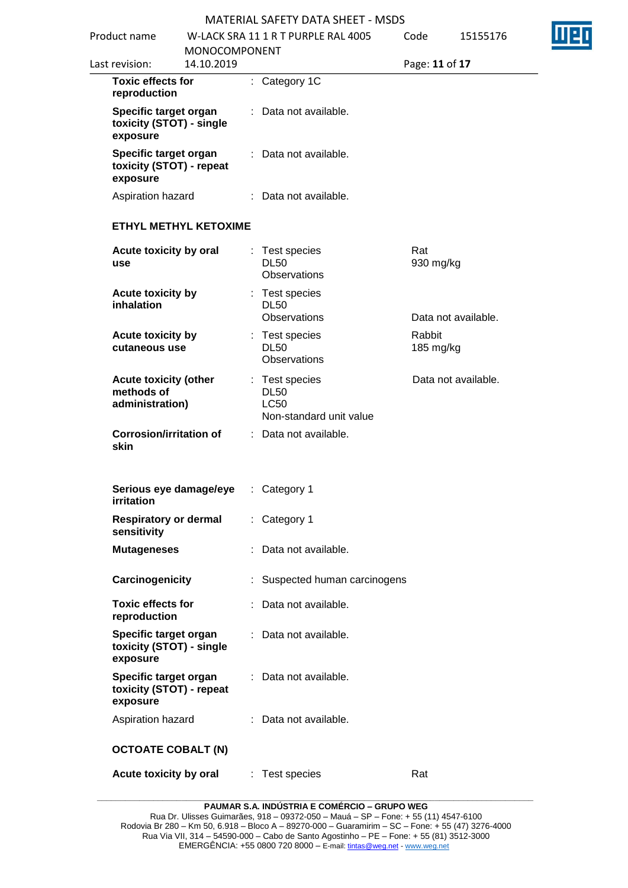| Product name                                                  |                              | W-LACK SRA 11 1 R T PURPLE RAL 4005                                     | Code                | 15155176            |
|---------------------------------------------------------------|------------------------------|-------------------------------------------------------------------------|---------------------|---------------------|
| Last revision:                                                | MONOCOMPONENT<br>14.10.2019  |                                                                         | Page: 11 of 17      |                     |
| <b>Toxic effects for</b><br>reproduction                      |                              | : Category 1C                                                           |                     |                     |
| Specific target organ<br>toxicity (STOT) - single<br>exposure |                              | : Data not available.                                                   |                     |                     |
| Specific target organ<br>toxicity (STOT) - repeat<br>exposure |                              | : Data not available.                                                   |                     |                     |
| Aspiration hazard                                             |                              | : Data not available.                                                   |                     |                     |
|                                                               | <b>ETHYL METHYL KETOXIME</b> |                                                                         |                     |                     |
| Acute toxicity by oral<br>use                                 |                              | Test species<br><b>DL50</b><br><b>Observations</b>                      | Rat<br>930 mg/kg    |                     |
| <b>Acute toxicity by</b><br>inhalation                        |                              | : Test species<br><b>DL50</b><br><b>Observations</b>                    |                     | Data not available. |
| Acute toxicity by<br>cutaneous use                            |                              | : Test species<br><b>DL50</b><br><b>Observations</b>                    | Rabbit<br>185 mg/kg |                     |
| <b>Acute toxicity (other</b><br>methods of<br>administration) |                              | : Test species<br><b>DL50</b><br><b>LC50</b><br>Non-standard unit value |                     | Data not available. |
| <b>Corrosion/irritation of</b><br>skin                        |                              | : Data not available.                                                   |                     |                     |
| irritation                                                    | Serious eye damage/eye       | : Category 1                                                            |                     |                     |
| sensitivity                                                   | <b>Respiratory or dermal</b> | : Category 1                                                            |                     |                     |
| <b>Mutageneses</b>                                            |                              | Data not available.                                                     |                     |                     |
| Carcinogenicity                                               |                              | Suspected human carcinogens                                             |                     |                     |
| <b>Toxic effects for</b><br>reproduction                      |                              | : Data not available.                                                   |                     |                     |
| Specific target organ<br>toxicity (STOT) - single<br>exposure |                              | : Data not available.                                                   |                     |                     |
| Specific target organ<br>toxicity (STOT) - repeat<br>exposure |                              | : Data not available.                                                   |                     |                     |
| Aspiration hazard                                             |                              | : Data not available.                                                   |                     |                     |
| <b>OCTOATE COBALT (N)</b>                                     |                              |                                                                         |                     |                     |
| Acute toxicity by oral                                        |                              | : Test species                                                          | Rat                 |                     |

**PAUMAR S.A. INDÚSTRIA E COMÉRCIO – GRUPO WEG**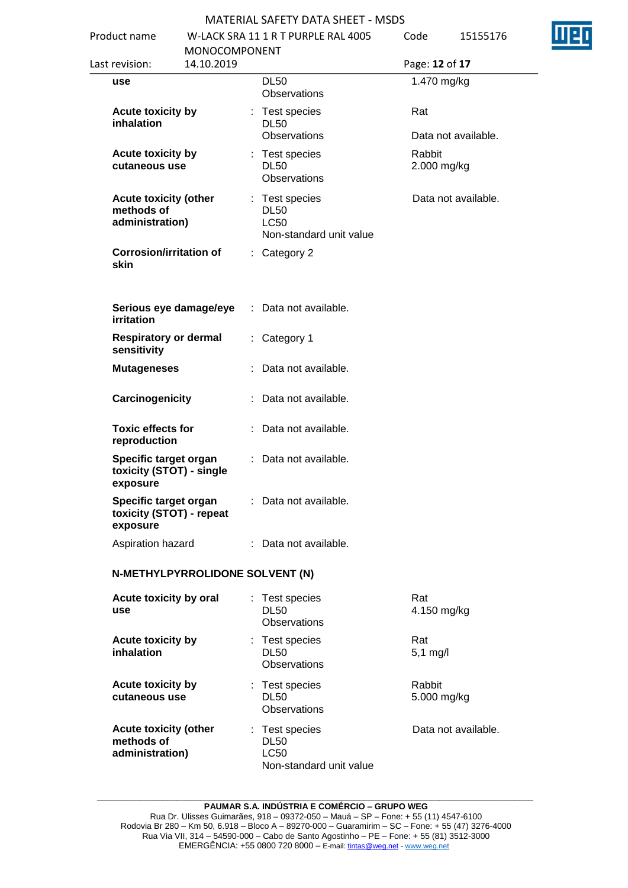| Product name |                                                                      | <b>MONOCOMPONENT</b>            |    | W-LACK SRA 11 1 R T PURPLE RAL 4005                                     | Code |                            | 15155176 |
|--------------|----------------------------------------------------------------------|---------------------------------|----|-------------------------------------------------------------------------|------|----------------------------|----------|
|              | Last revision:                                                       | 14.10.2019                      |    |                                                                         |      | Page: 12 of 17             |          |
|              | use                                                                  |                                 |    | <b>DL50</b><br>Observations                                             |      | 1.470 mg/kg                |          |
|              | Acute toxicity by<br>inhalation                                      |                                 |    | : Test species<br><b>DL50</b><br>Observations                           |      | Rat<br>Data not available. |          |
|              | Acute toxicity by<br>cutaneous use                                   |                                 |    | : Test species<br><b>DL50</b><br>Observations                           |      | Rabbit<br>2.000 mg/kg      |          |
|              | <b>Acute toxicity (other</b><br>methods of<br>administration)        |                                 |    | : Test species<br><b>DL50</b><br><b>LC50</b><br>Non-standard unit value |      | Data not available.        |          |
|              | <b>Corrosion/irritation of</b><br>skin                               |                                 |    | $:$ Category 2                                                          |      |                            |          |
|              | Serious eye damage/eye<br>irritation                                 |                                 |    | : Data not available.                                                   |      |                            |          |
|              | <b>Respiratory or dermal</b><br>sensitivity                          |                                 | ÷. | Category 1                                                              |      |                            |          |
|              | <b>Mutageneses</b>                                                   |                                 |    | : Data not available.                                                   |      |                            |          |
|              | Carcinogenicity                                                      |                                 |    | : Data not available.                                                   |      |                            |          |
|              | <b>Toxic effects for</b><br>reproduction                             |                                 |    | : Data not available.                                                   |      |                            |          |
|              | Specific target organ<br>toxicity (STOT) - single<br>exposure        |                                 |    | : Data not available.                                                   |      |                            |          |
|              | <b>Specific target organ</b><br>toxicity (STOT) - repeat<br>exposure |                                 |    | : Data not available.                                                   |      |                            |          |
|              | Aspiration hazard                                                    |                                 |    | : Data not available.                                                   |      |                            |          |
|              |                                                                      | N-METHYLPYRROLIDONE SOLVENT (N) |    |                                                                         |      |                            |          |
|              | Acute toxicity by oral<br>use                                        |                                 |    | Test species<br><b>DL50</b><br>Observations                             |      | Rat<br>4.150 mg/kg         |          |
|              | Acute toxicity by<br>inhalation                                      |                                 |    | : Test species<br><b>DL50</b><br>Observations                           |      | Rat<br>$5,1$ mg/l          |          |
|              | <b>Acute toxicity by</b><br>cutaneous use                            |                                 |    | : Test species<br><b>DL50</b><br>Observations                           |      | Rabbit<br>5.000 mg/kg      |          |
|              | <b>Acute toxicity (other</b><br>methods of<br>administration)        |                                 |    | : Test species<br><b>DL50</b><br><b>LC50</b>                            |      | Data not available.        |          |

Non-standard unit value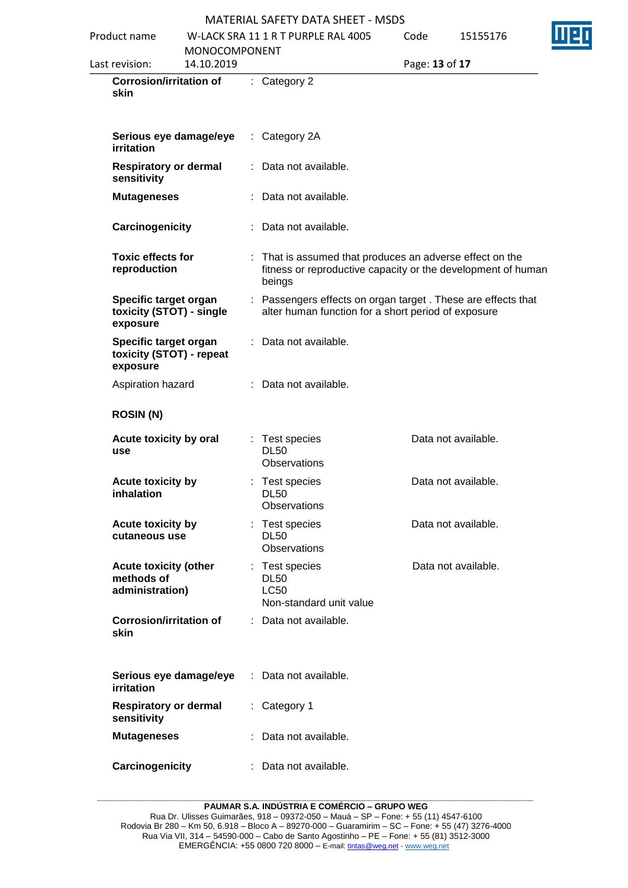| Product name                                                  |                             | W-LACK SRA 11 1 R T PURPLE RAL 4005                                                                                                | Code           | 15155176            |
|---------------------------------------------------------------|-----------------------------|------------------------------------------------------------------------------------------------------------------------------------|----------------|---------------------|
| Last revision:                                                | MONOCOMPONENT<br>14.10.2019 |                                                                                                                                    | Page: 13 of 17 |                     |
| <b>Corrosion/irritation of</b><br>skin                        |                             | : Category 2                                                                                                                       |                |                     |
| irritation                                                    | Serious eye damage/eye      | $\therefore$ Category 2A                                                                                                           |                |                     |
| <b>Respiratory or dermal</b><br>sensitivity                   |                             | : Data not available.                                                                                                              |                |                     |
| <b>Mutageneses</b>                                            |                             | : Data not available.                                                                                                              |                |                     |
| Carcinogenicity                                               |                             | : Data not available.                                                                                                              |                |                     |
| <b>Toxic effects for</b><br>reproduction                      |                             | : That is assumed that produces an adverse effect on the<br>fitness or reproductive capacity or the development of human<br>beings |                |                     |
| Specific target organ<br>exposure                             | toxicity (STOT) - single    | : Passengers effects on organ target . These are effects that<br>alter human function for a short period of exposure               |                |                     |
| Specific target organ<br>exposure                             | toxicity (STOT) - repeat    | : Data not available.                                                                                                              |                |                     |
| Aspiration hazard                                             |                             | : Data not available.                                                                                                              |                |                     |
| <b>ROSIN (N)</b>                                              |                             |                                                                                                                                    |                |                     |
| Acute toxicity by oral<br>use                                 |                             | : Test species<br><b>DL50</b><br>Observations                                                                                      |                | Data not available. |
| Acute toxicity by<br>inhalation                               |                             | : Test species<br>DL50<br>Observations                                                                                             |                | Data not available. |
| Acute toxicity by<br>cutaneous use                            |                             | : Test species<br><b>DL50</b><br>Observations                                                                                      |                | Data not available. |
| <b>Acute toxicity (other</b><br>methods of<br>administration) |                             | : Test species<br><b>DL50</b><br><b>LC50</b><br>Non-standard unit value                                                            |                | Data not available. |
| <b>Corrosion/irritation of</b><br>skin                        |                             | : Data not available.                                                                                                              |                |                     |
| irritation                                                    | Serious eye damage/eye      | : Data not available.                                                                                                              |                |                     |
| <b>Respiratory or dermal</b><br>sensitivity                   |                             | : Category 1                                                                                                                       |                |                     |
| <b>Mutageneses</b>                                            |                             | Data not available.                                                                                                                |                |                     |
| Carcinogenicity                                               |                             | : Data not available.                                                                                                              |                |                     |
|                                                               |                             |                                                                                                                                    |                |                     |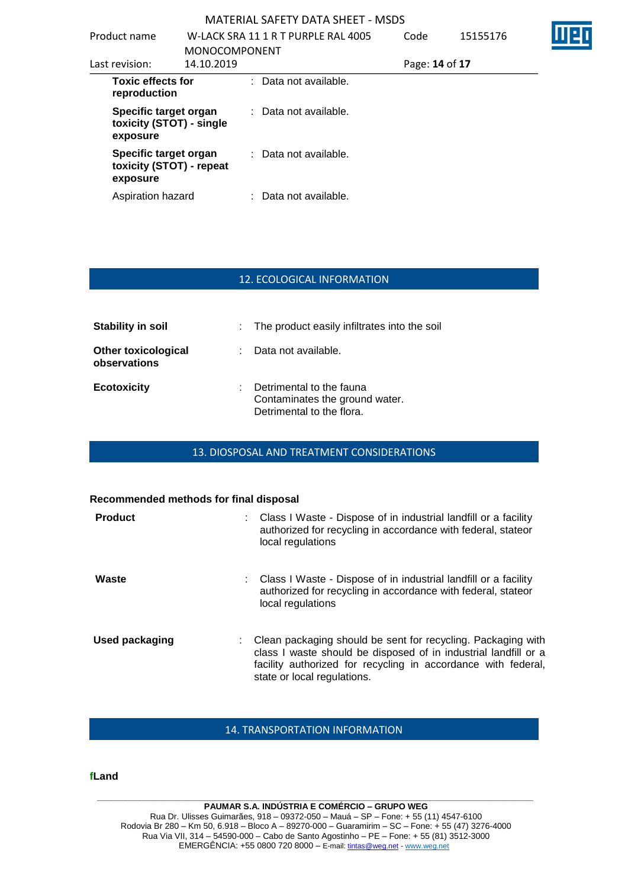| Product name                                                  | <b>MONOCOMPONENT</b> | W-LACK SRA 11 1 R T PURPLE RAL 4005 | Code           | 15155176 |  |
|---------------------------------------------------------------|----------------------|-------------------------------------|----------------|----------|--|
| Last revision:                                                | 14.10.2019           |                                     | Page: 14 of 17 |          |  |
| <b>Toxic effects for</b><br>reproduction                      |                      | : Data not available.               |                |          |  |
| Specific target organ<br>toxicity (STOT) - single<br>exposure |                      | : Data not available.               |                |          |  |
| Specific target organ<br>toxicity (STOT) - repeat<br>exposure |                      | : Data not available.               |                |          |  |
| Aspiration hazard                                             |                      | : Data not available.               |                |          |  |

### 12. ECOLOGICAL INFORMATION

| Stability in soil                          |    | : The product easily infiltrates into the soil                                          |
|--------------------------------------------|----|-----------------------------------------------------------------------------------------|
| <b>Other toxicological</b><br>observations |    | : Data not available.                                                                   |
| <b>Ecotoxicity</b>                         | ÷. | Detrimental to the fauna<br>Contaminates the ground water.<br>Detrimental to the flora. |

# 13. DIOSPOSAL AND TREATMENT CONSIDERATIONS

| Recommended methods for final disposal |    |                                                                                                                                                                                                                                 |
|----------------------------------------|----|---------------------------------------------------------------------------------------------------------------------------------------------------------------------------------------------------------------------------------|
| <b>Product</b>                         | t. | Class I Waste - Dispose of in industrial landfill or a facility<br>authorized for recycling in accordance with federal, stateor<br>local regulations                                                                            |
| Waste                                  |    | Class I Waste - Dispose of in industrial landfill or a facility<br>authorized for recycling in accordance with federal, stateor<br>local regulations                                                                            |
| Used packaging                         |    | Clean packaging should be sent for recycling. Packaging with<br>class I waste should be disposed of in industrial landfill or a<br>facility authorized for recycling in accordance with federal,<br>state or local regulations. |

### 14. TRANSPORTATION INFORMATION

#### **fLand**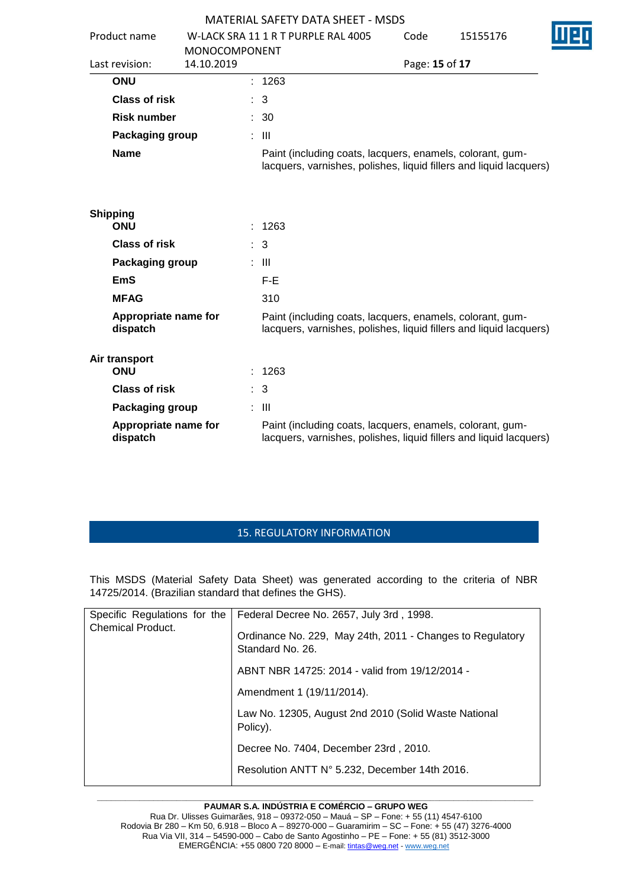| Product name                     | <b>MONOCOMPONENT</b> |    | W-LACK SRA 11 1 R T PURPLE RAL 4005                                                                                             | Code           | 15155176 |  |
|----------------------------------|----------------------|----|---------------------------------------------------------------------------------------------------------------------------------|----------------|----------|--|
| Last revision:                   | 14.10.2019           |    |                                                                                                                                 | Page: 15 of 17 |          |  |
| <b>ONU</b>                       |                      |    | : 1263                                                                                                                          |                |          |  |
| <b>Class of risk</b>             |                      |    | 3                                                                                                                               |                |          |  |
| <b>Risk number</b>               |                      |    | : 30                                                                                                                            |                |          |  |
| Packaging group                  |                      |    | $\therefore$ III                                                                                                                |                |          |  |
| <b>Name</b>                      |                      |    | Paint (including coats, lacquers, enamels, colorant, gum-<br>lacquers, varnishes, polishes, liquid fillers and liquid lacquers) |                |          |  |
| <b>Shipping</b><br><b>ONU</b>    |                      |    | : 1263                                                                                                                          |                |          |  |
| <b>Class of risk</b>             |                      |    | : 3                                                                                                                             |                |          |  |
| Packaging group                  |                      |    | : III                                                                                                                           |                |          |  |
| <b>EmS</b>                       |                      |    | F-E                                                                                                                             |                |          |  |
| <b>MFAG</b>                      |                      |    | 310                                                                                                                             |                |          |  |
| Appropriate name for<br>dispatch |                      |    | Paint (including coats, lacquers, enamels, colorant, gum-<br>lacquers, varnishes, polishes, liquid fillers and liquid lacquers) |                |          |  |
| Air transport<br><b>ONU</b>      |                      |    | : 1263                                                                                                                          |                |          |  |
| <b>Class of risk</b>             |                      | t. | 3                                                                                                                               |                |          |  |
| Packaging group                  |                      |    | $\therefore$ III                                                                                                                |                |          |  |
| Appropriate name for<br>dispatch |                      |    | Paint (including coats, lacquers, enamels, colorant, gum-<br>lacquers, varnishes, polishes, liquid fillers and liquid lacquers) |                |          |  |

# 15. REGULATORY INFORMATION

This MSDS (Material Safety Data Sheet) was generated according to the criteria of NBR 14725/2014. (Brazilian standard that defines the GHS).

| Specific Regulations for the | Federal Decree No. 2657, July 3rd, 1998.                                      |
|------------------------------|-------------------------------------------------------------------------------|
| <b>Chemical Product.</b>     | Ordinance No. 229, May 24th, 2011 - Changes to Regulatory<br>Standard No. 26. |
|                              | ABNT NBR 14725: 2014 - valid from 19/12/2014 -                                |
|                              | Amendment 1 (19/11/2014).                                                     |
|                              | Law No. 12305, August 2nd 2010 (Solid Waste National<br>Policy).              |
|                              | Decree No. 7404, December 23rd, 2010.                                         |
|                              | Resolution ANTT N° 5.232, December 14th 2016.                                 |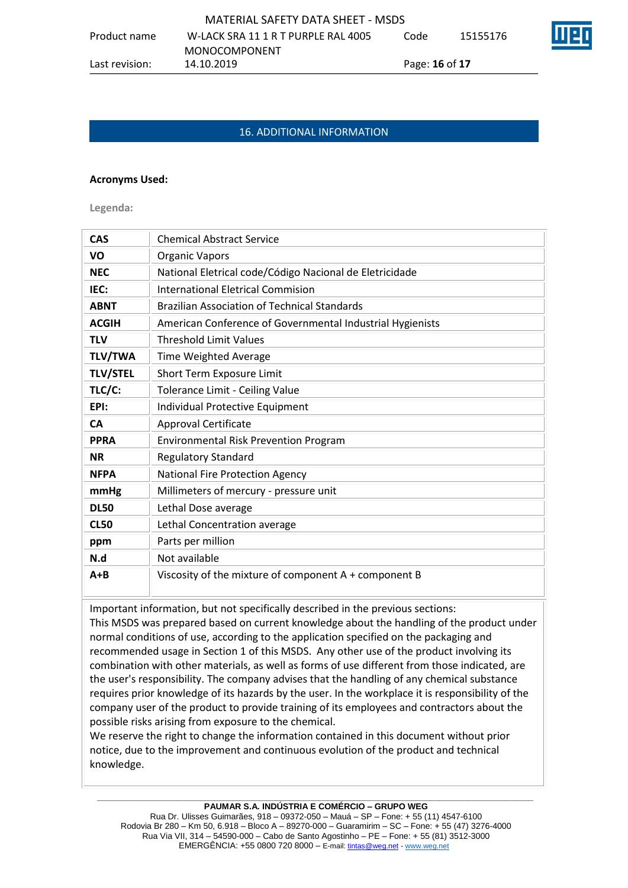MATERIAL SAFETY DATA SHEET - MSDS Product name W-LACK SRA 11 1 R T PURPLE RAL 4005 MONOCOMPONENT Code 15155176 Last revision: 14.10.2019 Page: **16** of **17**

# 16. ADDITIONAL INFORMATION

#### **Acronyms Used:**

**Legenda:**

| <b>CAS</b>      | <b>Chemical Abstract Service</b>                          |
|-----------------|-----------------------------------------------------------|
| VO              | <b>Organic Vapors</b>                                     |
| <b>NEC</b>      | National Eletrical code/Código Nacional de Eletricidade   |
| IEC:            | <b>International Eletrical Commision</b>                  |
| <b>ABNT</b>     | <b>Brazilian Association of Technical Standards</b>       |
| <b>ACGIH</b>    | American Conference of Governmental Industrial Hygienists |
| <b>TLV</b>      | <b>Threshold Limit Values</b>                             |
| <b>TLV/TWA</b>  | Time Weighted Average                                     |
| <b>TLV/STEL</b> | Short Term Exposure Limit                                 |
| TLC/C:          | Tolerance Limit - Ceiling Value                           |
| EPI:            | Individual Protective Equipment                           |
| <b>CA</b>       | Approval Certificate                                      |
| <b>PPRA</b>     | <b>Environmental Risk Prevention Program</b>              |
| <b>NR</b>       | <b>Regulatory Standard</b>                                |
| <b>NFPA</b>     | <b>National Fire Protection Agency</b>                    |
| mmHg            | Millimeters of mercury - pressure unit                    |
| <b>DL50</b>     | Lethal Dose average                                       |
| <b>CL50</b>     | Lethal Concentration average                              |
| ppm             | Parts per million                                         |
| N.d             | Not available                                             |
| $A + B$         | Viscosity of the mixture of component A + component B     |

Important information, but not specifically described in the previous sections: This MSDS was prepared based on current knowledge about the handling of the product under normal conditions of use, according to the application specified on the packaging and recommended usage in Section 1 of this MSDS. Any other use of the product involving its combination with other materials, as well as forms of use different from those indicated, are the user's responsibility. The company advises that the handling of any chemical substance requires prior knowledge of its hazards by the user. In the workplace it is responsibility of the

possible risks arising from exposure to the chemical. We reserve the right to change the information contained in this document without prior notice, due to the improvement and continuous evolution of the product and technical knowledge.

company user of the product to provide training of its employees and contractors about the